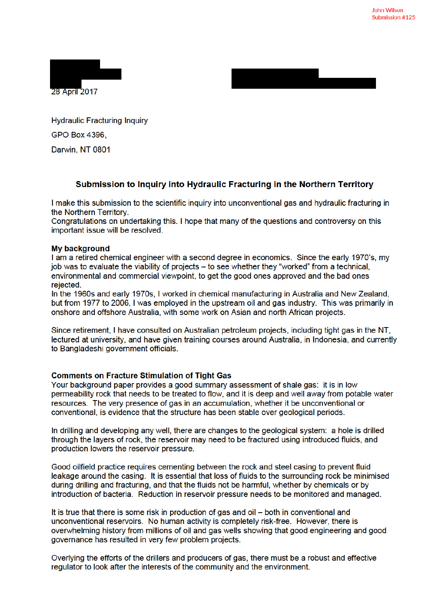



**Hydraulic Fracturing Inquiry** GPO Box 4396. Darwin, NT 0801

## Submission to Inquiry into Hydraulic Fracturing in the Northern Territory

I make this submission to the scientific inquiry into unconventional gas and hydraulic fracturing in the Northern Territory.

Congratulations on undertaking this. I hope that many of the questions and controversy on this important issue will be resolved.

## **My background**

I am a retired chemical engineer with a second degree in economics. Since the early 1970's, my job was to evaluate the viability of projects – to see whether they "worked" from a technical, environmental and commercial viewpoint, to get the good ones approved and the bad ones rejected.

In the 1960s and early 1970s, I worked in chemical manufacturing in Australia and New Zealand, but from 1977 to 2006, I was employed in the upstream oil and gas industry. This was primarily in onshore and offshore Australia, with some work on Asian and north African projects.

Since retirement, I have consulted on Australian petroleum projects, including tight gas in the NT, lectured at university, and have given training courses around Australia, in Indonesia, and currently to Bangladeshi government officials.

## **Comments on Fracture Stimulation of Tight Gas**

Your background paper provides a good summary assessment of shale gas: it is in low permeability rock that needs to be treated to flow, and it is deep and well away from potable water resources. The very presence of gas in an accumulation, whether it be unconventional or conventional, is evidence that the structure has been stable over geological periods.

In drilling and developing any well, there are changes to the geological system: a hole is drilled through the layers of rock, the reservoir may need to be fractured using introduced fluids, and production lowers the reservoir pressure.

Good oilfield practice requires cementing between the rock and steel casing to prevent fluid leakage around the casing. It is essential that loss of fluids to the surrounding rock be minimised during drilling and fracturing, and that the fluids not be harmful, whether by chemicals or by introduction of bacteria. Reduction in reservoir pressure needs to be monitored and managed.

It is true that there is some risk in production of gas and oil – both in conventional and unconventional reservoirs. No human activity is completely risk-free. However, there is overwhelming history from millions of oil and gas wells showing that good engineering and good governance has resulted in very few problem projects.

Overlying the efforts of the drillers and producers of gas, there must be a robust and effective regulator to look after the interests of the community and the environment.